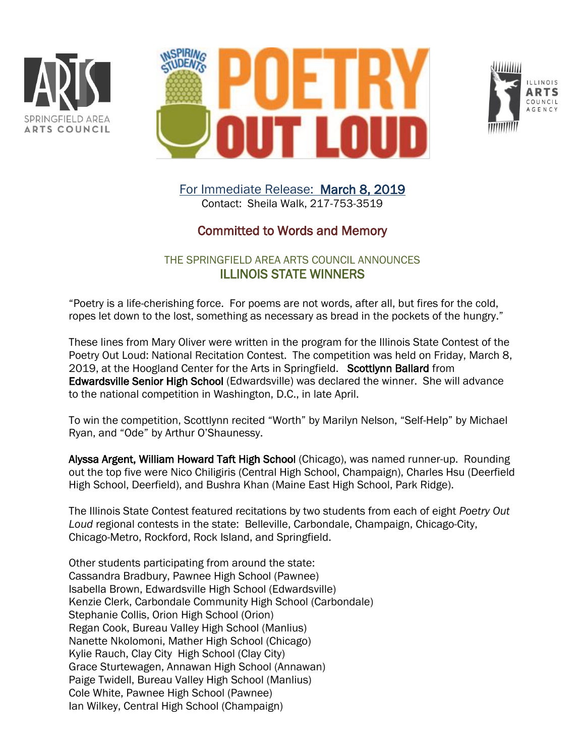





For Immediate Release: March 8, 2019 Contact: Sheila Walk, 217-753-3519

## Committed to Words and Memory

## THE SPRINGFIELD AREA ARTS COUNCIL ANNOUNCES ILLINOIS STATE WINNERS

"Poetry is a life-cherishing force. For poems are not words, after all, but fires for the cold, ropes let down to the lost, something as necessary as bread in the pockets of the hungry."

These lines from Mary Oliver were written in the program for the Illinois State Contest of the Poetry Out Loud: National Recitation Contest. The competition was held on Friday, March 8, 2019, at the Hoogland Center for the Arts in Springfield. Scottlynn Ballard from Edwardsville Senior High School (Edwardsville) was declared the winner. She will advance to the national competition in Washington, D.C., in late April.

To win the competition, Scottlynn recited "Worth" by Marilyn Nelson, "Self-Help" by Michael Ryan, and "Ode" by Arthur O'Shaunessy.

Alyssa Argent, William Howard Taft High School (Chicago), was named runner-up. Rounding out the top five were Nico Chiligiris (Central High School, Champaign), Charles Hsu (Deerfield High School, Deerfield), and Bushra Khan (Maine East High School, Park Ridge).

The Illinois State Contest featured recitations by two students from each of eight *Poetry Out Loud* regional contests in the state: Belleville, Carbondale, Champaign, Chicago-City, Chicago-Metro, Rockford, Rock Island, and Springfield.

Other students participating from around the state: Cassandra Bradbury, Pawnee High School (Pawnee) Isabella Brown, Edwardsville High School (Edwardsville) Kenzie Clerk, Carbondale Community High School (Carbondale) Stephanie Collis, Orion High School (Orion) Regan Cook, Bureau Valley High School (Manlius) Nanette Nkolomoni, Mather High School (Chicago) Kylie Rauch, Clay City High School (Clay City) Grace Sturtewagen, Annawan High School (Annawan) Paige Twidell, Bureau Valley High School (Manlius) Cole White, Pawnee High School (Pawnee) Ian Wilkey, Central High School (Champaign)